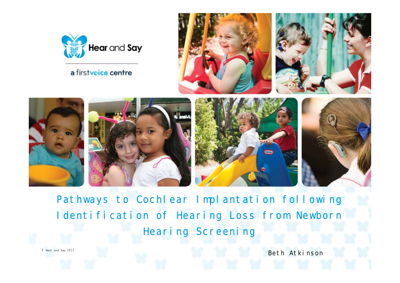

a firstvoice centre







Pat hways to Cochlear I mpl ant at i on following I dent if i cation of Hearing Loss from Newborn Hear ing Screening

Bet h At kinson

© Hear and Say 2013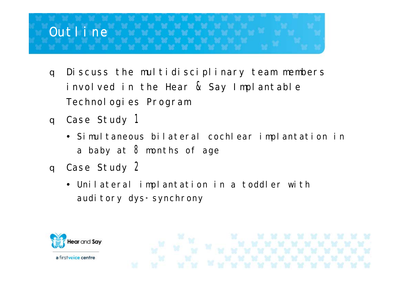

- Discuss the multidisciplinary team members  $\alpha$ involved in the Hear & Say Implantable Technologies Program
- q Case Study 1
	- · Simultaneous bilateral cochlear implantation in a baby at 8 months of age
- q Case Study 2
	- · Unilateral implantation in a toddler with auditory dys-synchrony

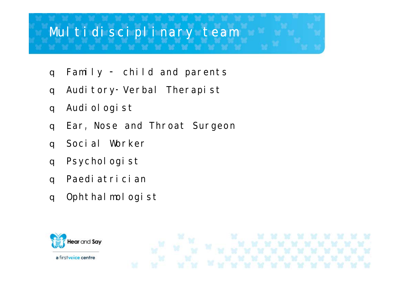## Multidisciplinary team

- Family  $-$  child and parents  $\alpha$
- Auditory-Verbal Therapist  $\overline{q}$
- Audi ol ogi st  $\alpha$
- Ear, Nose and Throat Surgeon  $\overline{a}$
- Social Worker  $\alpha$
- Psychol ogi st  $\alpha$
- Paedi at r i ci an  $\overline{a}$
- Opht hal mol ogi st  $\overline{q}$

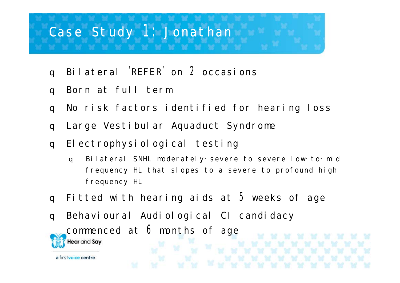## Case St udy 1: Jonat han

- Bilateral 'REFER' on 2 occasions  $\alpha$
- Born at full term  $\alpha$

- No risk factors identified for hearing loss  $\overline{a}$
- Large Vestibular Aquaduct Syndrome  $\alpha$
- Electrophysiological testing  $\alpha$ 
	- Bilateral SNHL moderately-severe to severe low-to-mid  $\alpha$ frequency HL that slopes to a severe to profound high frequency HL
- Fitted with hearing aids at 5 weeks of age  $\alpha$
- Behavioural Audiological CI candidacy  $\alpha$ commenced at 6 months of age **Hear** and Say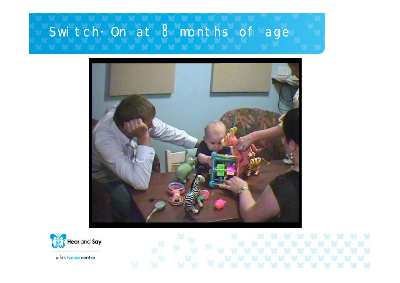# Switch-On at 8 months of age



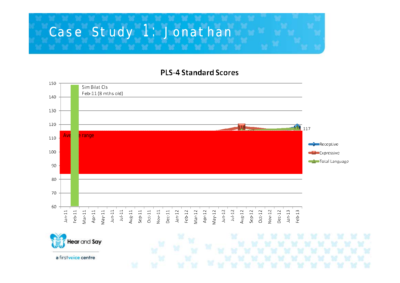# Case St udy 1: Jonat han

### **PLS-4 Standard Scores**

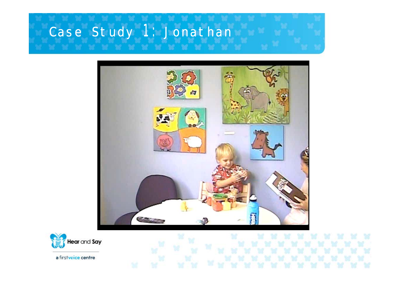# Case St udy 1: Jonat han



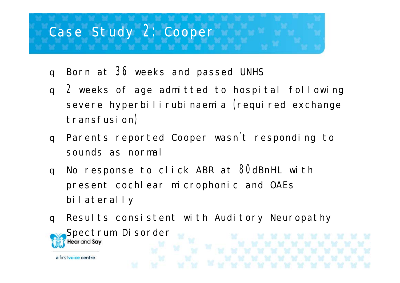# Case Study 2: Cooper

- Born at 36 weeks and passed UNHS  $\alpha$
- 2 weeks of age admitted to hospital following  $\alpha$ severe hyperbilirubinaemia (required exchange transfusion)
- Parents reported Cooper wasn't responding to  $\alpha$ sounds as normal
- No response to click ABR at 80dBnHL with  $\alpha$ present cochlear microphonic and OAEs bilaterally
- Results consistent with Auditory Neuropathy  $\alpha$ Spectrum Disorder **Hear** and Say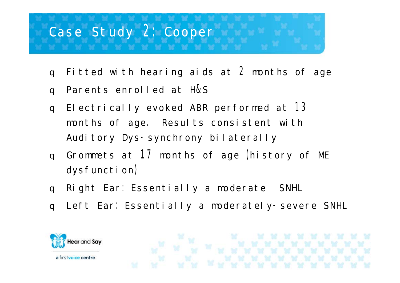# Case Study 2: Cooper

- Fitted with hearing aids at 2 months of age  $\alpha$
- Parents enrolled at H&S  $\alpha$
- Electrically evoked ABR performed at 13  $\alpha$ months of age. Results consistent with Auditory Dys-synchrony bilaterally
- Grommets at 17 months of age (history of ME  $\alpha$  $dy$ sfunction)
- Right Ear: Essentially a moderate SNHL  $\alpha$
- q Left Ear: Essentially a moderately-severe SNHL

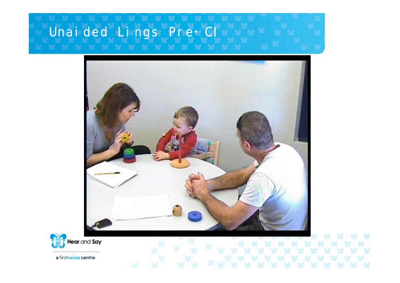# Unai ded Lings Pre-Cl



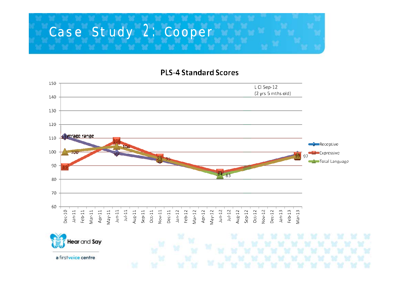

#### **PLS-4 Standard Scores**

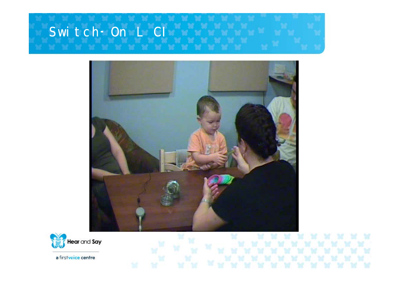



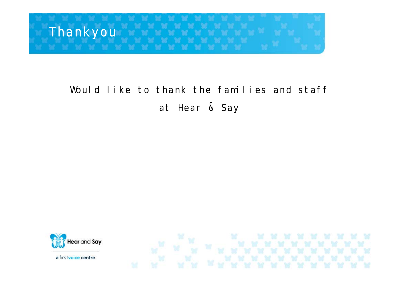

## Would like to thank the families and staff at Hear & Say